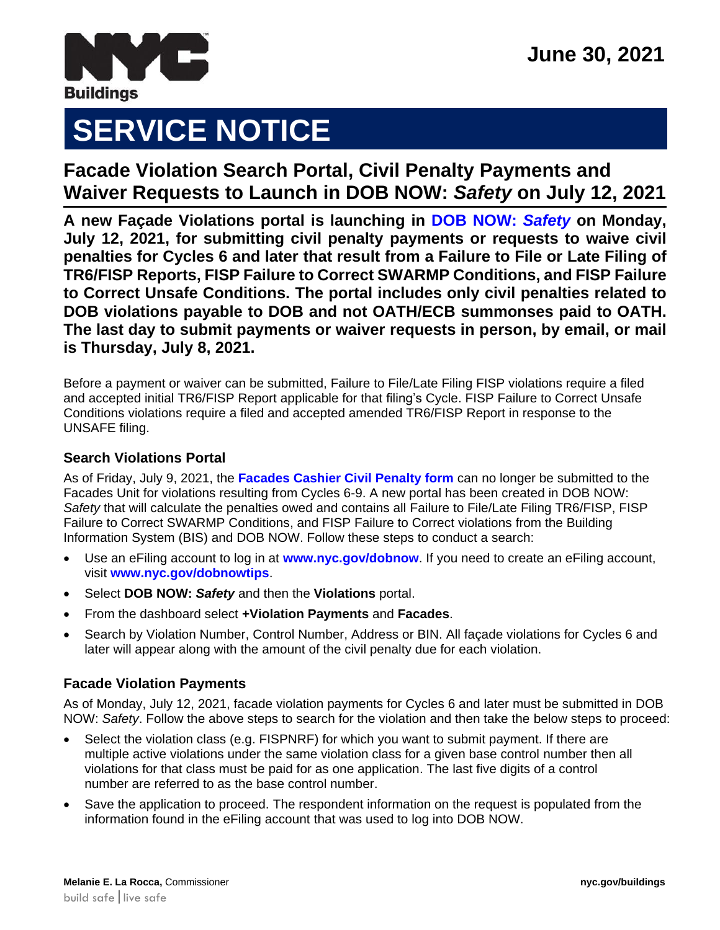

# **SERVICE NOTICE**

## **Facade Violation Search Portal, Civil Penalty Payments and Waiver Requests to Launch in DOB NOW:** *Safety* **on July 12, 2021**

**A new Façade Violations portal is launching in [DOB NOW:](http://www.nyc.gov/dobnow)** *Safety* **on Monday, July 12, 2021, for submitting civil penalty payments or requests to waive civil penalties for Cycles 6 and later that result from a Failure to File or Late Filing of TR6/FISP Reports, FISP Failure to Correct SWARMP Conditions, and FISP Failure to Correct Unsafe Conditions. The portal includes only civil penalties related to DOB violations payable to DOB and not OATH/ECB summonses paid to OATH. The last day to submit payments or waiver requests in person, by email, or mail is Thursday, July 8, 2021.**

Before a payment or waiver can be submitted, Failure to File/Late Filing FISP violations require a filed and accepted initial TR6/FISP Report applicable for that filing's Cycle. FISP Failure to Correct Unsafe Conditions violations require a filed and accepted amended TR6/FISP Report in response to the UNSAFE filing.

### **Search Violations Portal**

As of Friday, July 9, 2021, the **[Facades Cashier Civil Penalty form](https://www1.nyc.gov/assets/buildings/pdf/fcp.pdf)** can no longer be submitted to the Facades Unit for violations resulting from Cycles 6-9. A new portal has been created in DOB NOW: *Safety* that will calculate the penalties owed and contains all Failure to File/Late Filing TR6/FISP, FISP Failure to Correct SWARMP Conditions, and FISP Failure to Correct violations from the Building Information System (BIS) and DOB NOW. Follow these steps to conduct a search:

- Use an eFiling account to log in at **[www.nyc.gov/dobnow](http://www.nyc.gov/dobnow)**. If you need to create an eFiling account, visit **[www.nyc.gov/dobnowtips](http://www.nyc.gov/dobnowtips)**.
- Select **DOB NOW:** *Safety* and then the **Violations** portal.
- From the dashboard select **+Violation Payments** and **Facades**.
- Search by Violation Number, Control Number, Address or BIN. All façade violations for Cycles 6 and later will appear along with the amount of the civil penalty due for each violation.

#### **Facade Violation Payments**

As of Monday, July 12, 2021, facade violation payments for Cycles 6 and later must be submitted in DOB NOW: *Safety*. Follow the above steps to search for the violation and then take the below steps to proceed:

- Select the violation class (e.g. FISPNRF) for which you want to submit payment. If there are multiple active violations under the same violation class for a given base control number then all violations for that class must be paid for as one application. The last five digits of a control number are referred to as the base control number.
- Save the application to proceed. The respondent information on the request is populated from the information found in the eFiling account that was used to log into DOB NOW.